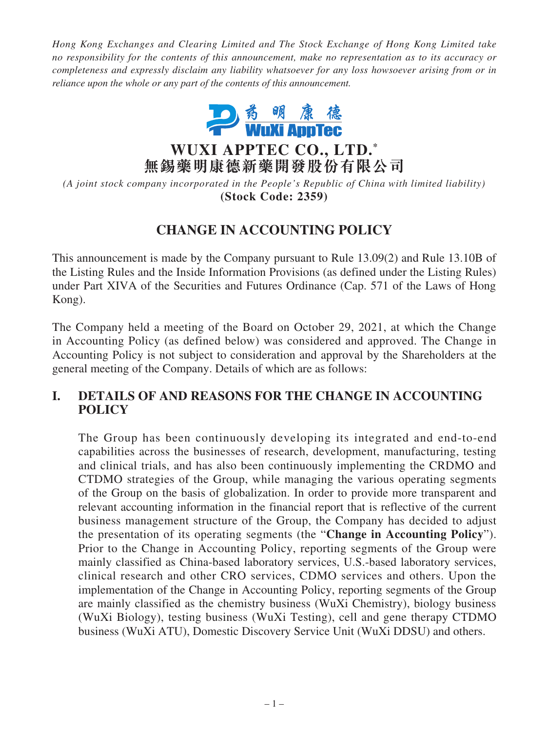*Hong Kong Exchanges and Clearing Limited and The Stock Exchange of Hong Kong Limited take no responsibility for the contents of this announcement, make no representation as to its accuracy or completeness and expressly disclaim any liability whatsoever for any loss howsoever arising from or in reliance upon the whole or any part of the contents of this announcement.*



**WUXI APPTEC CO., LTD. \* 無錫藥明康德新藥開發股份有限公司**

*(A joint stock company incorporated in the People's Republic of China with limited liability)* **(Stock Code: 2359)**

# **CHANGE IN ACCOUNTING POLICY**

This announcement is made by the Company pursuant to Rule 13.09(2) and Rule 13.10B of the Listing Rules and the Inside Information Provisions (as defined under the Listing Rules) under Part XIVA of the Securities and Futures Ordinance (Cap. 571 of the Laws of Hong Kong).

The Company held a meeting of the Board on October 29, 2021, at which the Change in Accounting Policy (as defined below) was considered and approved. The Change in Accounting Policy is not subject to consideration and approval by the Shareholders at the general meeting of the Company. Details of which are as follows:

### **I. DETAILS OF AND REASONS FOR THE CHANGE IN ACCOUNTING POLICY**

The Group has been continuously developing its integrated and end-to-end capabilities across the businesses of research, development, manufacturing, testing and clinical trials, and has also been continuously implementing the CRDMO and CTDMO strategies of the Group, while managing the various operating segments of the Group on the basis of globalization. In order to provide more transparent and relevant accounting information in the financial report that is reflective of the current business management structure of the Group, the Company has decided to adjust the presentation of its operating segments (the "**Change in Accounting Policy**"). Prior to the Change in Accounting Policy, reporting segments of the Group were mainly classified as China-based laboratory services, U.S.-based laboratory services, clinical research and other CRO services, CDMO services and others. Upon the implementation of the Change in Accounting Policy, reporting segments of the Group are mainly classified as the chemistry business (WuXi Chemistry), biology business (WuXi Biology), testing business (WuXi Testing), cell and gene therapy CTDMO business (WuXi ATU), Domestic Discovery Service Unit (WuXi DDSU) and others.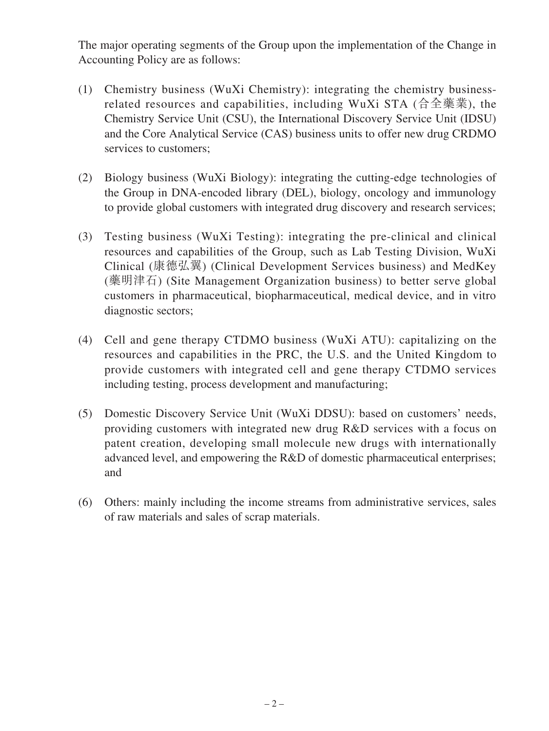The major operating segments of the Group upon the implementation of the Change in Accounting Policy are as follows:

- (1) Chemistry business (WuXi Chemistry): integrating the chemistry businessrelated resources and capabilities, including WuXi STA (合全藥業), the Chemistry Service Unit (CSU), the International Discovery Service Unit (IDSU) and the Core Analytical Service (CAS) business units to offer new drug CRDMO services to customers;
- (2) Biology business (WuXi Biology): integrating the cutting-edge technologies of the Group in DNA-encoded library (DEL), biology, oncology and immunology to provide global customers with integrated drug discovery and research services;
- (3) Testing business (WuXi Testing): integrating the pre-clinical and clinical resources and capabilities of the Group, such as Lab Testing Division, WuXi Clinical (康德弘翼) (Clinical Development Services business) and MedKey (藥明津石) (Site Management Organization business) to better serve global customers in pharmaceutical, biopharmaceutical, medical device, and in vitro diagnostic sectors;
- (4) Cell and gene therapy CTDMO business (WuXi ATU): capitalizing on the resources and capabilities in the PRC, the U.S. and the United Kingdom to provide customers with integrated cell and gene therapy CTDMO services including testing, process development and manufacturing;
- (5) Domestic Discovery Service Unit (WuXi DDSU): based on customers' needs, providing customers with integrated new drug R&D services with a focus on patent creation, developing small molecule new drugs with internationally advanced level, and empowering the R&D of domestic pharmaceutical enterprises; and
- (6) Others: mainly including the income streams from administrative services, sales of raw materials and sales of scrap materials.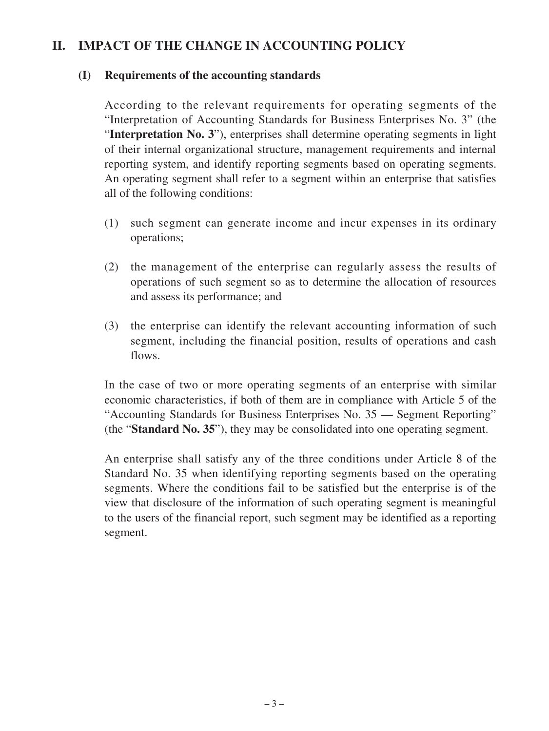### **II. IMPACT OF THE CHANGE IN ACCOUNTING POLICY**

### **(I) Requirements of the accounting standards**

According to the relevant requirements for operating segments of the "Interpretation of Accounting Standards for Business Enterprises No. 3" (the "**Interpretation No. 3**"), enterprises shall determine operating segments in light of their internal organizational structure, management requirements and internal reporting system, and identify reporting segments based on operating segments. An operating segment shall refer to a segment within an enterprise that satisfies all of the following conditions:

- (1) such segment can generate income and incur expenses in its ordinary operations;
- (2) the management of the enterprise can regularly assess the results of operations of such segment so as to determine the allocation of resources and assess its performance; and
- (3) the enterprise can identify the relevant accounting information of such segment, including the financial position, results of operations and cash flows.

In the case of two or more operating segments of an enterprise with similar economic characteristics, if both of them are in compliance with Article 5 of the "Accounting Standards for Business Enterprises No. 35 — Segment Reporting" (the "**Standard No. 35**"), they may be consolidated into one operating segment.

An enterprise shall satisfy any of the three conditions under Article 8 of the Standard No. 35 when identifying reporting segments based on the operating segments. Where the conditions fail to be satisfied but the enterprise is of the view that disclosure of the information of such operating segment is meaningful to the users of the financial report, such segment may be identified as a reporting segment.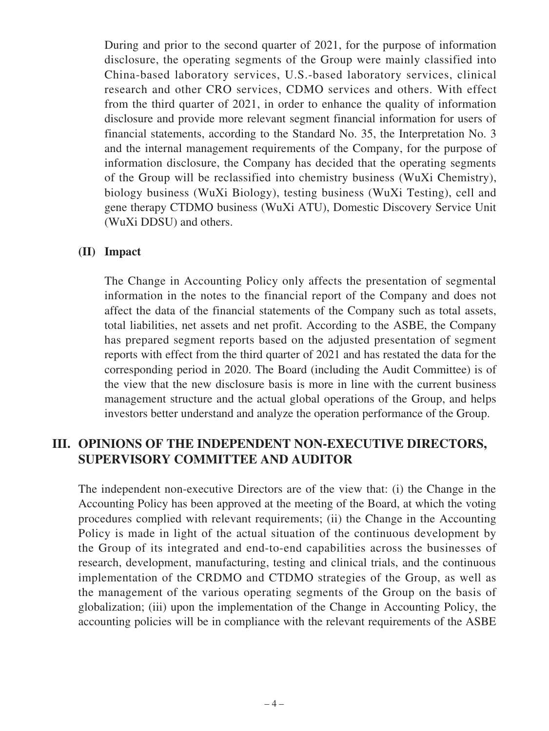During and prior to the second quarter of 2021, for the purpose of information disclosure, the operating segments of the Group were mainly classified into China-based laboratory services, U.S.-based laboratory services, clinical research and other CRO services, CDMO services and others. With effect from the third quarter of 2021, in order to enhance the quality of information disclosure and provide more relevant segment financial information for users of financial statements, according to the Standard No. 35, the Interpretation No. 3 and the internal management requirements of the Company, for the purpose of information disclosure, the Company has decided that the operating segments of the Group will be reclassified into chemistry business (WuXi Chemistry), biology business (WuXi Biology), testing business (WuXi Testing), cell and gene therapy CTDMO business (WuXi ATU), Domestic Discovery Service Unit (WuXi DDSU) and others.

#### **(II) Impact**

The Change in Accounting Policy only affects the presentation of segmental information in the notes to the financial report of the Company and does not affect the data of the financial statements of the Company such as total assets, total liabilities, net assets and net profit. According to the ASBE, the Company has prepared segment reports based on the adjusted presentation of segment reports with effect from the third quarter of 2021 and has restated the data for the corresponding period in 2020. The Board (including the Audit Committee) is of the view that the new disclosure basis is more in line with the current business management structure and the actual global operations of the Group, and helps investors better understand and analyze the operation performance of the Group.

## **III. OPINIONS OF THE INDEPENDENT NON-EXECUTIVE DIRECTORS, SUPERVISORY COMMITTEE AND AUDITOR**

The independent non-executive Directors are of the view that: (i) the Change in the Accounting Policy has been approved at the meeting of the Board, at which the voting procedures complied with relevant requirements; (ii) the Change in the Accounting Policy is made in light of the actual situation of the continuous development by the Group of its integrated and end-to-end capabilities across the businesses of research, development, manufacturing, testing and clinical trials, and the continuous implementation of the CRDMO and CTDMO strategies of the Group, as well as the management of the various operating segments of the Group on the basis of globalization; (iii) upon the implementation of the Change in Accounting Policy, the accounting policies will be in compliance with the relevant requirements of the ASBE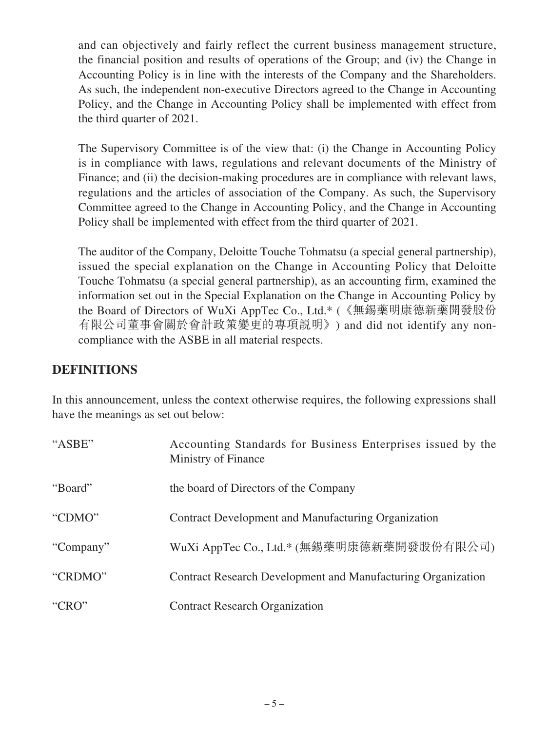and can objectively and fairly reflect the current business management structure, the financial position and results of operations of the Group; and (iv) the Change in Accounting Policy is in line with the interests of the Company and the Shareholders. As such, the independent non-executive Directors agreed to the Change in Accounting Policy, and the Change in Accounting Policy shall be implemented with effect from the third quarter of 2021.

The Supervisory Committee is of the view that: (i) the Change in Accounting Policy is in compliance with laws, regulations and relevant documents of the Ministry of Finance; and (ii) the decision-making procedures are in compliance with relevant laws, regulations and the articles of association of the Company. As such, the Supervisory Committee agreed to the Change in Accounting Policy, and the Change in Accounting Policy shall be implemented with effect from the third quarter of 2021.

The auditor of the Company, Deloitte Touche Tohmatsu (a special general partnership), issued the special explanation on the Change in Accounting Policy that Deloitte Touche Tohmatsu (a special general partnership), as an accounting firm, examined the information set out in the Special Explanation on the Change in Accounting Policy by the Board of Directors of WuXi AppTec Co., Ltd.\* (《無錫藥明康德新藥開發股份 有限公司董事會關於會計政策變更的專項說明》) and did not identify any noncompliance with the ASBE in all material respects.

### **DEFINITIONS**

In this announcement, unless the context otherwise requires, the following expressions shall have the meanings as set out below:

| "ASBE"    | Accounting Standards for Business Enterprises issued by the<br>Ministry of Finance |
|-----------|------------------------------------------------------------------------------------|
| "Board"   | the board of Directors of the Company                                              |
| "CDMO"    | Contract Development and Manufacturing Organization                                |
| "Company" | WuXi AppTec Co., Ltd.* (無錫藥明康德新藥開發股份有限公司)                                          |
| "CRDMO"   | Contract Research Development and Manufacturing Organization                       |
| "CRO"     | <b>Contract Research Organization</b>                                              |